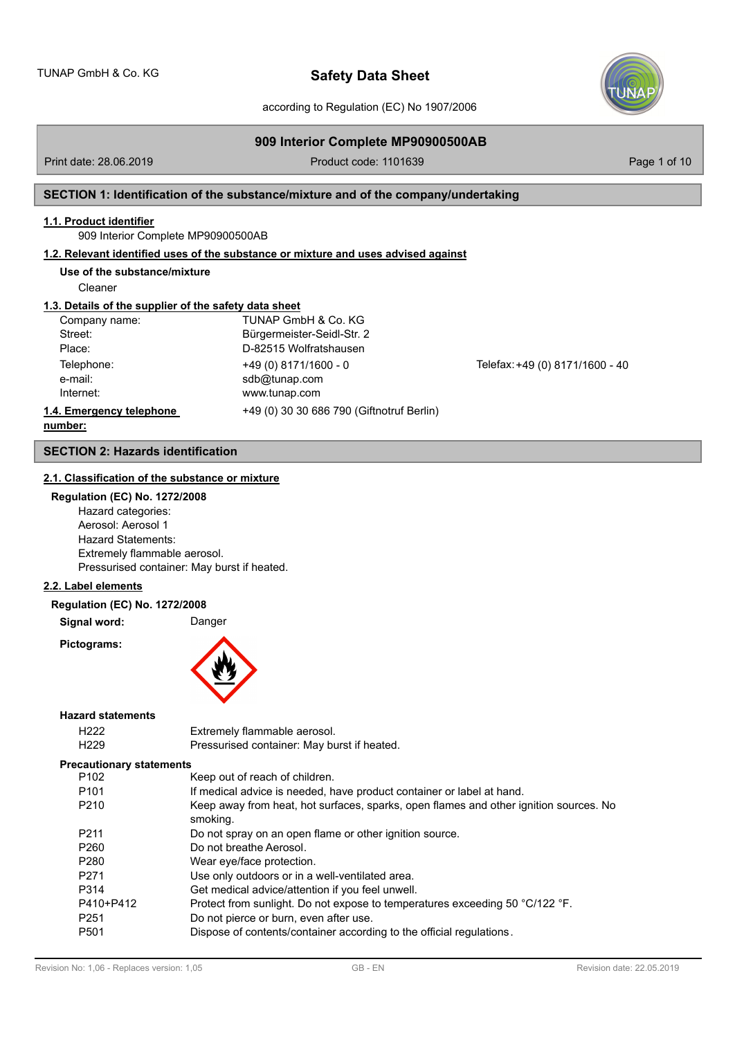according to Regulation (EC) No 1907/2006

# **909 Interior Complete MP90900500AB**

Print date: 28.06.2019 **Product code: 1101639** Product code: 1101639

# **SECTION 1: Identification of the substance/mixture and of the company/undertaking**

# **1.1. Product identifier**

909 Interior Complete MP90900500AB

# **1.2. Relevant identified uses of the substance or mixture and uses advised against**

# **Use of the substance/mixture**

Cleaner

# **1.3. Details of the supplier of the safety data sheet**

| Company name:            | TUNAP GmbH & Co. KG                       |                                 |
|--------------------------|-------------------------------------------|---------------------------------|
| Street:                  | Bürgermeister-Seidl-Str. 2                |                                 |
| Place:                   | D-82515 Wolfratshausen                    |                                 |
| Telephone:               | $+49(0)$ 8171/1600 - 0                    | Telefax: +49 (0) 8171/1600 - 40 |
| e-mail:                  | sdb@tunap.com                             |                                 |
| Internet:                | www.tunap.com                             |                                 |
| 1.4. Emergency telephone | +49 (0) 30 30 686 790 (Giftnotruf Berlin) |                                 |
| numhar:                  |                                           |                                 |

### **number:**

# **SECTION 2: Hazards identification**

# **2.1. Classification of the substance or mixture**

|  |  | <b>Regulation (EC) No. 1272/2008</b> |  |
|--|--|--------------------------------------|--|
|  |  |                                      |  |

Hazard categories: Aerosol: Aerosol 1 Hazard Statements: Extremely flammable aerosol. Pressurised container: May burst if heated.

### **2.2. Label elements**

**Regulation (EC) No. 1272/2008**

Signal word: Danger

**Pictograms:**



### **Hazard statements**

| H <sub>222</sub>                | Extremely flammable aerosol.                                                                      |
|---------------------------------|---------------------------------------------------------------------------------------------------|
| H <sub>229</sub>                | Pressurised container: May burst if heated.                                                       |
| <b>Precautionary statements</b> |                                                                                                   |
| P <sub>102</sub>                | Keep out of reach of children.                                                                    |
| P <sub>101</sub>                | If medical advice is needed, have product container or label at hand.                             |
| P <sub>210</sub>                | Keep away from heat, hot surfaces, sparks, open flames and other ignition sources. No<br>smoking. |
| P <sub>211</sub>                | Do not spray on an open flame or other ignition source.                                           |
| P <sub>260</sub>                | Do not breathe Aerosol.                                                                           |
| P <sub>280</sub>                | Wear eye/face protection.                                                                         |
| P <sub>271</sub>                | Use only outdoors or in a well-ventilated area.                                                   |
| P314                            | Get medical advice/attention if you feel unwell.                                                  |
| P410+P412                       | Protect from sunlight. Do not expose to temperatures exceeding 50 °C/122 °F.                      |
| P <sub>251</sub>                | Do not pierce or burn, even after use.                                                            |
| P <sub>501</sub>                | Dispose of contents/container according to the official regulations.                              |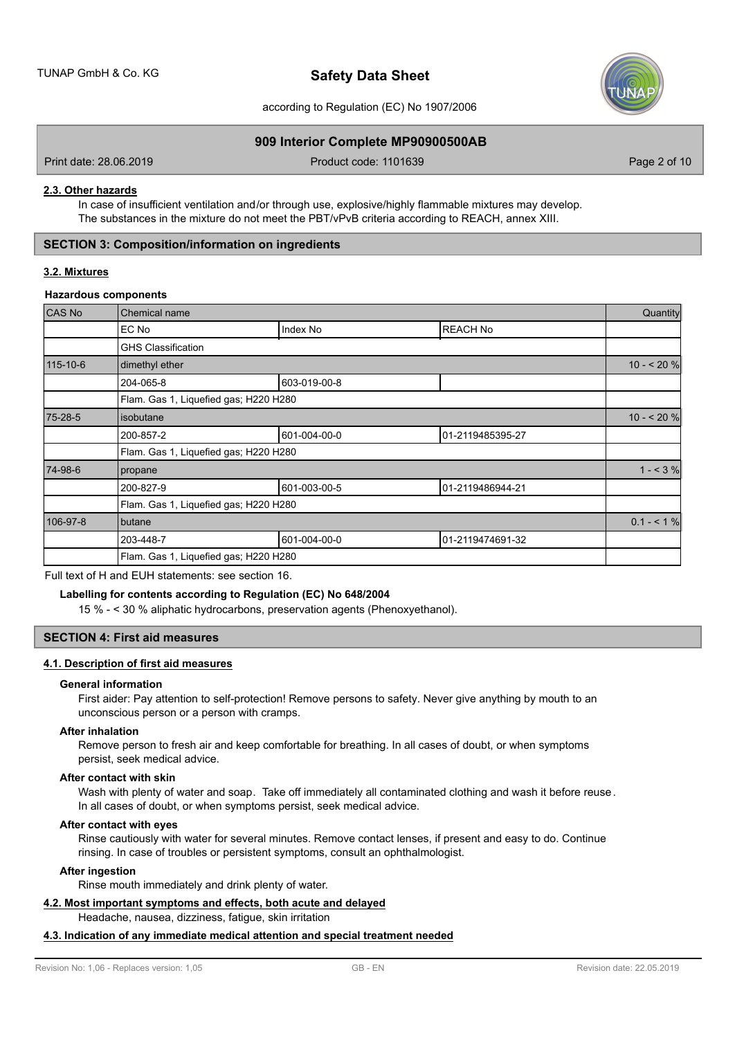

according to Regulation (EC) No 1907/2006

# **909 Interior Complete MP90900500AB**

Print date: 28.06.2019 **Product code: 1101639** Product code: 1101639 Page 2 of 10

### **2.3. Other hazards**

In case of insufficient ventilation and/or through use, explosive/highly flammable mixtures may develop. The substances in the mixture do not meet the PBT/vPvB criteria according to REACH, annex XIII.

# **SECTION 3: Composition/information on ingredients**

### **3.2. Mixtures**

### **Hazardous components**

| <b>CAS No</b> | Chemical name                         |              |                  |               |  |
|---------------|---------------------------------------|--------------|------------------|---------------|--|
|               | EC No                                 | Index No     | <b>REACH No</b>  |               |  |
|               | <b>GHS Classification</b>             |              |                  |               |  |
| 115-10-6      | dimethyl ether                        |              |                  | $10 - 20%$    |  |
|               | 204-065-8                             | 603-019-00-8 |                  |               |  |
|               | Flam. Gas 1, Liquefied gas; H220 H280 |              |                  |               |  |
| 75-28-5       | isobutane                             |              |                  | $10 - 20%$    |  |
|               | 200-857-2                             | 601-004-00-0 | 01-2119485395-27 |               |  |
|               | Flam. Gas 1, Liquefied gas; H220 H280 |              |                  |               |  |
| 74-98-6       | propane                               |              |                  | $1 - 3\%$     |  |
|               | 200-827-9                             | 601-003-00-5 | 01-2119486944-21 |               |  |
|               | Flam. Gas 1, Liquefied gas; H220 H280 |              |                  |               |  |
| 106-97-8      | butane                                |              |                  | $0.1 - 51 \%$ |  |
|               | 203-448-7                             | 601-004-00-0 | 01-2119474691-32 |               |  |
|               | Flam. Gas 1, Liquefied gas; H220 H280 |              |                  |               |  |

Full text of H and EUH statements: see section 16.

### **Labelling for contents according to Regulation (EC) No 648/2004**

15 % - < 30 % aliphatic hydrocarbons, preservation agents (Phenoxyethanol).

# **SECTION 4: First aid measures**

### **4.1. Description of first aid measures**

### **General information**

First aider: Pay attention to self-protection! Remove persons to safety. Never give anything by mouth to an unconscious person or a person with cramps.

### **After inhalation**

Remove person to fresh air and keep comfortable for breathing. In all cases of doubt, or when symptoms persist, seek medical advice.

### **After contact with skin**

Wash with plenty of water and soap. Take off immediately all contaminated clothing and wash it before reuse. In all cases of doubt, or when symptoms persist, seek medical advice.

### **After contact with eyes**

Rinse cautiously with water for several minutes. Remove contact lenses, if present and easy to do. Continue rinsing. In case of troubles or persistent symptoms, consult an ophthalmologist.

# **After ingestion**

Rinse mouth immediately and drink plenty of water.

# **4.2. Most important symptoms and effects, both acute and delayed**

Headache, nausea, dizziness, fatigue, skin irritation

# **4.3. Indication of any immediate medical attention and special treatment needed**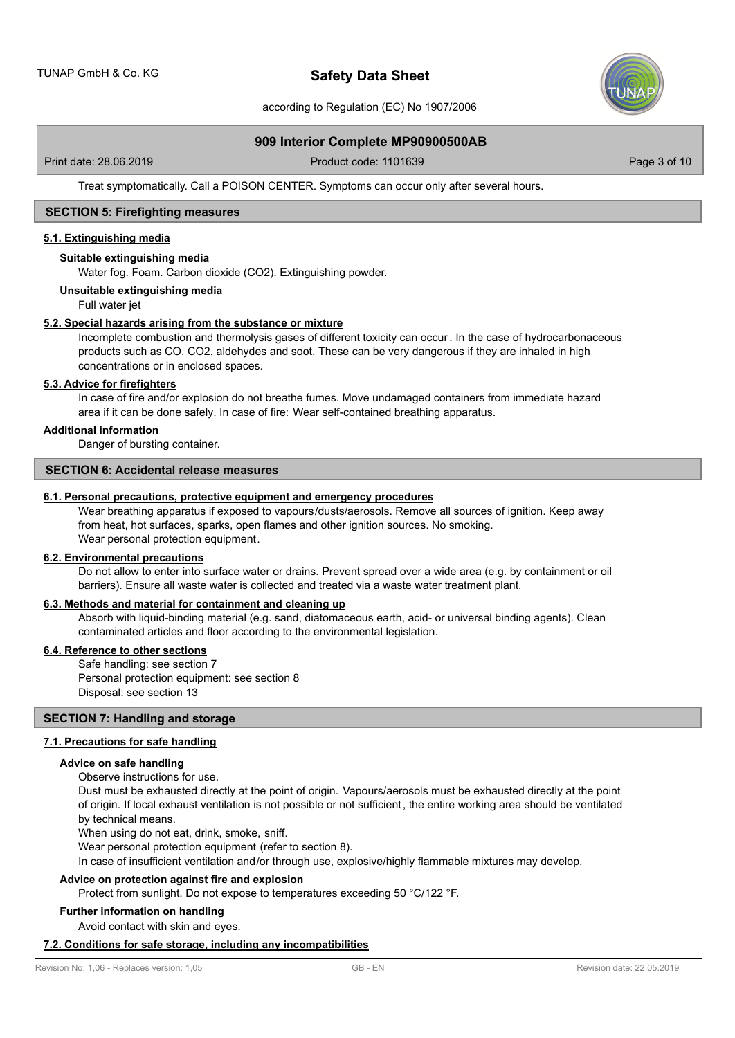

according to Regulation (EC) No 1907/2006

## **909 Interior Complete MP90900500AB**

Print date: 28.06.2019 **Product code: 1101639** Product code: 1101639 Page 3 of 10

Treat symptomatically. Call a POISON CENTER. Symptoms can occur only after several hours.

# **SECTION 5: Firefighting measures**

# **5.1. Extinguishing media**

### **Suitable extinguishing media**

Water fog. Foam. Carbon dioxide (CO2). Extinguishing powder.

### **Unsuitable extinguishing media**

Full water jet

### **5.2. Special hazards arising from the substance or mixture**

Incomplete combustion and thermolysis gases of different toxicity can occur. In the case of hydrocarbonaceous products such as CO, CO2, aldehydes and soot. These can be very dangerous if they are inhaled in high concentrations or in enclosed spaces.

# **5.3. Advice for firefighters**

In case of fire and/or explosion do not breathe fumes. Move undamaged containers from immediate hazard area if it can be done safely. In case of fire: Wear self-contained breathing apparatus.

# **Additional information**

Danger of bursting container.

### **SECTION 6: Accidental release measures**

### **6.1. Personal precautions, protective equipment and emergency procedures**

Wear breathing apparatus if exposed to vapours/dusts/aerosols. Remove all sources of ignition. Keep away from heat, hot surfaces, sparks, open flames and other ignition sources. No smoking. Wear personal protection equipment.

### **6.2. Environmental precautions**

Do not allow to enter into surface water or drains. Prevent spread over a wide area (e.g. by containment or oil barriers). Ensure all waste water is collected and treated via a waste water treatment plant.

### **6.3. Methods and material for containment and cleaning up**

Absorb with liquid-binding material (e.g. sand, diatomaceous earth, acid- or universal binding agents). Clean contaminated articles and floor according to the environmental legislation.

# **6.4. Reference to other sections**

Safe handling: see section 7 Personal protection equipment: see section 8 Disposal: see section 13

# **SECTION 7: Handling and storage**

# **7.1. Precautions for safe handling**

### **Advice on safe handling**

Observe instructions for use.

Dust must be exhausted directly at the point of origin. Vapours/aerosols must be exhausted directly at the point of origin. If local exhaust ventilation is not possible or not sufficient, the entire working area should be ventilated by technical means.

When using do not eat, drink, smoke, sniff.

Wear personal protection equipment (refer to section 8).

In case of insufficient ventilation and/or through use, explosive/highly flammable mixtures may develop.

### **Advice on protection against fire and explosion**

Protect from sunlight. Do not expose to temperatures exceeding 50 °C/122 °F.

# **Further information on handling**

Avoid contact with skin and eyes.

### **7.2. Conditions for safe storage, including any incompatibilities**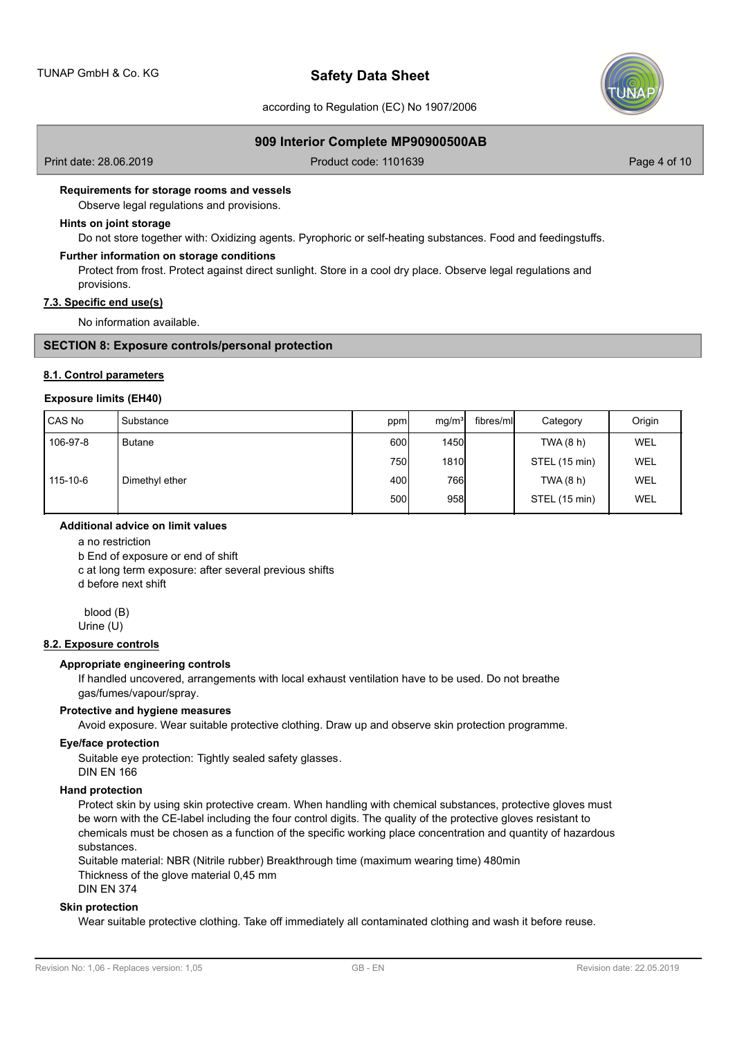

according to Regulation (EC) No 1907/2006

# **909 Interior Complete MP90900500AB**

Print date: 28.06.2019 **Product code: 1101639** Product code: 1101639 Page 4 of 10

### **Requirements for storage rooms and vessels**

Observe legal regulations and provisions.

# **Hints on joint storage**

Do not store together with: Oxidizing agents. Pyrophoric or self-heating substances. Food and feedingstuffs.

### **Further information on storage conditions**

Protect from frost. Protect against direct sunlight. Store in a cool dry place. Observe legal regulations and provisions.

# **7.3. Specific end use(s)**

No information available.

### **SECTION 8: Exposure controls/personal protection**

## **8.1. Control parameters**

# **Exposure limits (EH40)**

| CAS No   | l Substance    | ppm  | mg/m <sup>3</sup> | fibres/mll | Category      | Origin     |
|----------|----------------|------|-------------------|------------|---------------|------------|
| 106-97-8 | <b>Butane</b>  | 600  | <b>1450</b>       |            | TWA (8 h)     | WEL        |
|          |                | 750l | 1810              |            | STEL (15 min) | WEL        |
| 115-10-6 | Dimethyl ether | 400l | 766I              |            | TWA (8 h)     | WEL        |
|          |                | 500  | 958               |            | STEL (15 min) | <b>WEL</b> |

# **Additional advice on limit values**

a no restriction

b End of exposure or end of shift

c at long term exposure: after several previous shifts

d before next shift

blood (B)

Urine (U)

# **8.2. Exposure controls**

### **Appropriate engineering controls**

If handled uncovered, arrangements with local exhaust ventilation have to be used. Do not breathe gas/fumes/vapour/spray.

### **Protective and hygiene measures**

Avoid exposure. Wear suitable protective clothing. Draw up and observe skin protection programme.

### **Eye/face protection**

Suitable eye protection: Tightly sealed safety glasses. DIN EN 166

### **Hand protection**

Protect skin by using skin protective cream. When handling with chemical substances, protective gloves must be worn with the CE-label including the four control digits. The quality of the protective gloves resistant to chemicals must be chosen as a function of the specific working place concentration and quantity of hazardous substances.

Suitable material: NBR (Nitrile rubber) Breakthrough time (maximum wearing time) 480min Thickness of the glove material 0,45 mm DIN EN 374

**Skin protection**

Wear suitable protective clothing. Take off immediately all contaminated clothing and wash it before reuse.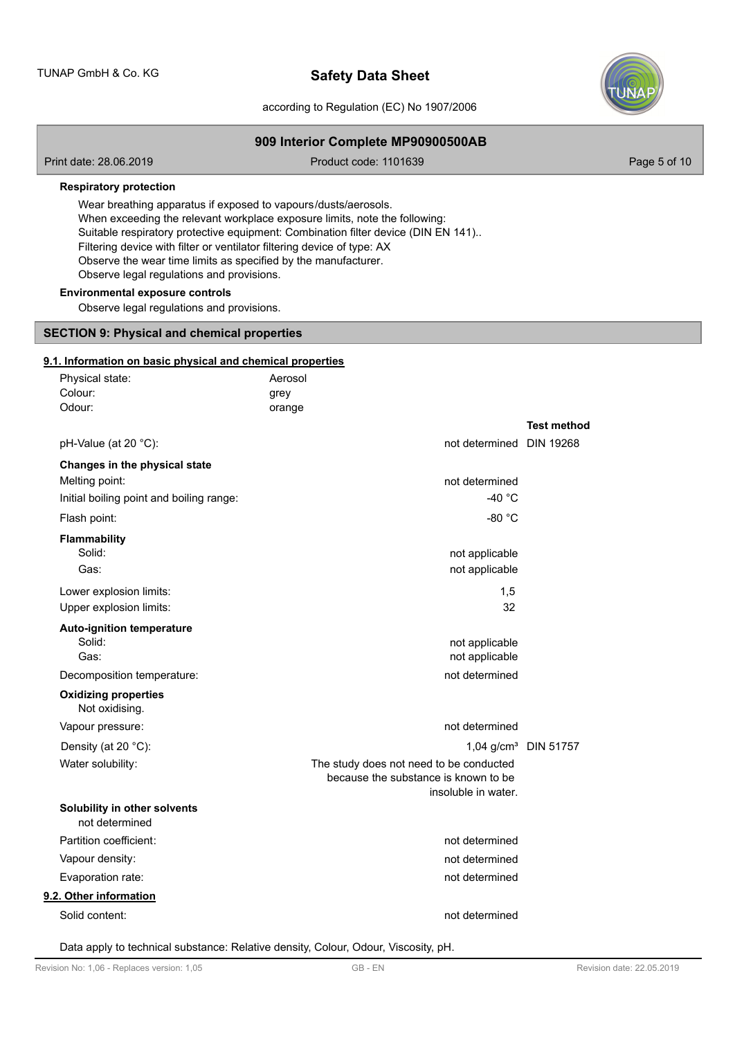

according to Regulation (EC) No 1907/2006

**909 Interior Complete MP90900500AB**

| Print date: 28.06.2019                                                                                                                                                                                                                                   | Product code: 1101639                                                                                                                                           | Page 5 of 10                     |
|----------------------------------------------------------------------------------------------------------------------------------------------------------------------------------------------------------------------------------------------------------|-----------------------------------------------------------------------------------------------------------------------------------------------------------------|----------------------------------|
| <b>Respiratory protection</b>                                                                                                                                                                                                                            |                                                                                                                                                                 |                                  |
| Wear breathing apparatus if exposed to vapours/dusts/aerosols.<br>Filtering device with filter or ventilator filtering device of type: AX<br>Observe the wear time limits as specified by the manufacturer.<br>Observe legal regulations and provisions. | When exceeding the relevant workplace exposure limits, note the following:<br>Suitable respiratory protective equipment: Combination filter device (DIN EN 141) |                                  |
| <b>Environmental exposure controls</b><br>Observe legal regulations and provisions.                                                                                                                                                                      |                                                                                                                                                                 |                                  |
| <b>SECTION 9: Physical and chemical properties</b>                                                                                                                                                                                                       |                                                                                                                                                                 |                                  |
| 9.1. Information on basic physical and chemical properties                                                                                                                                                                                               |                                                                                                                                                                 |                                  |
| Physical state:                                                                                                                                                                                                                                          | Aerosol                                                                                                                                                         |                                  |
| Colour:                                                                                                                                                                                                                                                  | grey                                                                                                                                                            |                                  |
| Odour:                                                                                                                                                                                                                                                   | orange                                                                                                                                                          |                                  |
|                                                                                                                                                                                                                                                          |                                                                                                                                                                 | <b>Test method</b>               |
| pH-Value (at 20 °C):                                                                                                                                                                                                                                     | not determined DIN 19268                                                                                                                                        |                                  |
| Changes in the physical state                                                                                                                                                                                                                            |                                                                                                                                                                 |                                  |
| Melting point:                                                                                                                                                                                                                                           | not determined                                                                                                                                                  |                                  |
| Initial boiling point and boiling range:                                                                                                                                                                                                                 | -40 $^{\circ}$ C                                                                                                                                                |                                  |
| Flash point:                                                                                                                                                                                                                                             | $-80 °C$                                                                                                                                                        |                                  |
| <b>Flammability</b>                                                                                                                                                                                                                                      |                                                                                                                                                                 |                                  |
| Solid:                                                                                                                                                                                                                                                   | not applicable                                                                                                                                                  |                                  |
| Gas:                                                                                                                                                                                                                                                     | not applicable                                                                                                                                                  |                                  |
| Lower explosion limits:                                                                                                                                                                                                                                  | 1,5                                                                                                                                                             |                                  |
| Upper explosion limits:                                                                                                                                                                                                                                  | 32                                                                                                                                                              |                                  |
| <b>Auto-ignition temperature</b>                                                                                                                                                                                                                         |                                                                                                                                                                 |                                  |
| Solid:                                                                                                                                                                                                                                                   | not applicable                                                                                                                                                  |                                  |
| Gas:                                                                                                                                                                                                                                                     | not applicable                                                                                                                                                  |                                  |
| Decomposition temperature:                                                                                                                                                                                                                               | not determined                                                                                                                                                  |                                  |
| <b>Oxidizing properties</b><br>Not oxidising.                                                                                                                                                                                                            |                                                                                                                                                                 |                                  |
| Vapour pressure:                                                                                                                                                                                                                                         | not determined                                                                                                                                                  |                                  |
| Density (at 20 °C):                                                                                                                                                                                                                                      |                                                                                                                                                                 | 1,04 g/cm <sup>3</sup> DIN 51757 |
| Water solubility:                                                                                                                                                                                                                                        | The study does not need to be conducted<br>because the substance is known to be<br>insoluble in water.                                                          |                                  |
| Solubility in other solvents<br>not determined                                                                                                                                                                                                           |                                                                                                                                                                 |                                  |
| Partition coefficient:                                                                                                                                                                                                                                   | not determined                                                                                                                                                  |                                  |
| Vapour density:                                                                                                                                                                                                                                          | not determined                                                                                                                                                  |                                  |
| Evaporation rate:                                                                                                                                                                                                                                        | not determined                                                                                                                                                  |                                  |
| 9.2. Other information                                                                                                                                                                                                                                   |                                                                                                                                                                 |                                  |
| Solid content:                                                                                                                                                                                                                                           | not determined                                                                                                                                                  |                                  |
|                                                                                                                                                                                                                                                          |                                                                                                                                                                 |                                  |

Data apply to technical substance: Relative density, Colour, Odour, Viscosity, pH.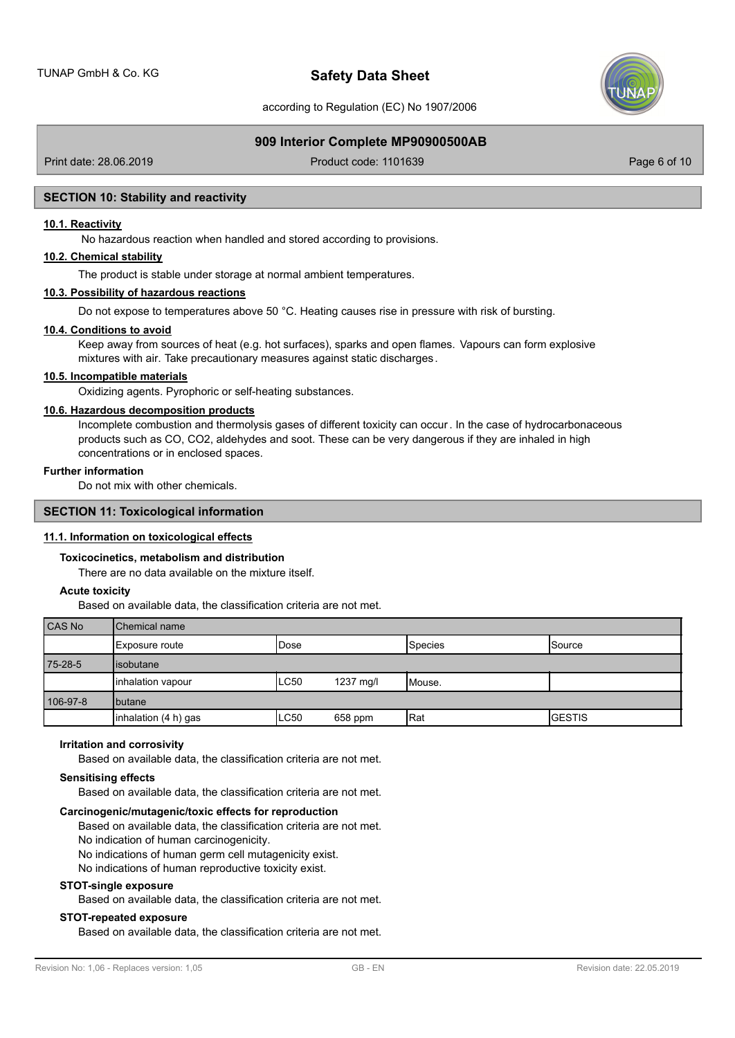

according to Regulation (EC) No 1907/2006

# **909 Interior Complete MP90900500AB**

Print date: 28.06.2019 **Product code: 1101639** Product code: 1101639 Page 6 of 10

### **SECTION 10: Stability and reactivity**

### **10.1. Reactivity**

No hazardous reaction when handled and stored according to provisions.

# **10.2. Chemical stability**

The product is stable under storage at normal ambient temperatures.

# **10.3. Possibility of hazardous reactions**

Do not expose to temperatures above 50 °C. Heating causes rise in pressure with risk of bursting.

### **10.4. Conditions to avoid**

Keep away from sources of heat (e.g. hot surfaces), sparks and open flames. Vapours can form explosive mixtures with air. Take precautionary measures against static discharges.

### **10.5. Incompatible materials**

Oxidizing agents. Pyrophoric or self-heating substances.

### **10.6. Hazardous decomposition products**

Incomplete combustion and thermolysis gases of different toxicity can occur. In the case of hydrocarbonaceous products such as CO, CO2, aldehydes and soot. These can be very dangerous if they are inhaled in high concentrations or in enclosed spaces.

### **Further information**

Do not mix with other chemicals.

### **SECTION 11: Toxicological information**

### **11.1. Information on toxicological effects**

### **Toxicocinetics, metabolism and distribution**

There are no data available on the mixture itself.

### **Acute toxicity**

Based on available data, the classification criteria are not met.

| CAS No   | <b>Chemical name</b> |       |           |         |               |  |  |
|----------|----------------------|-------|-----------|---------|---------------|--|--|
|          | Exposure route       | IDose |           | Species | <b>Source</b> |  |  |
| 75-28-5  | lisobutane           |       |           |         |               |  |  |
|          | Inhalation vapour    | LC50  | 1237 mg/l | Mouse.  |               |  |  |
| 106-97-8 | <b>I</b> butane      |       |           |         |               |  |  |
|          | inhalation (4 h) gas | LC50  | 658 ppm   | Rat     | <b>GESTIS</b> |  |  |

### **Irritation and corrosivity**

Based on available data, the classification criteria are not met.

### **Sensitising effects**

Based on available data, the classification criteria are not met.

### **Carcinogenic/mutagenic/toxic effects for reproduction**

Based on available data, the classification criteria are not met. No indication of human carcinogenicity.

No indications of human germ cell mutagenicity exist.

No indications of human reproductive toxicity exist.

### **STOT-single exposure**

Based on available data, the classification criteria are not met.

## **STOT-repeated exposure**

Based on available data, the classification criteria are not met.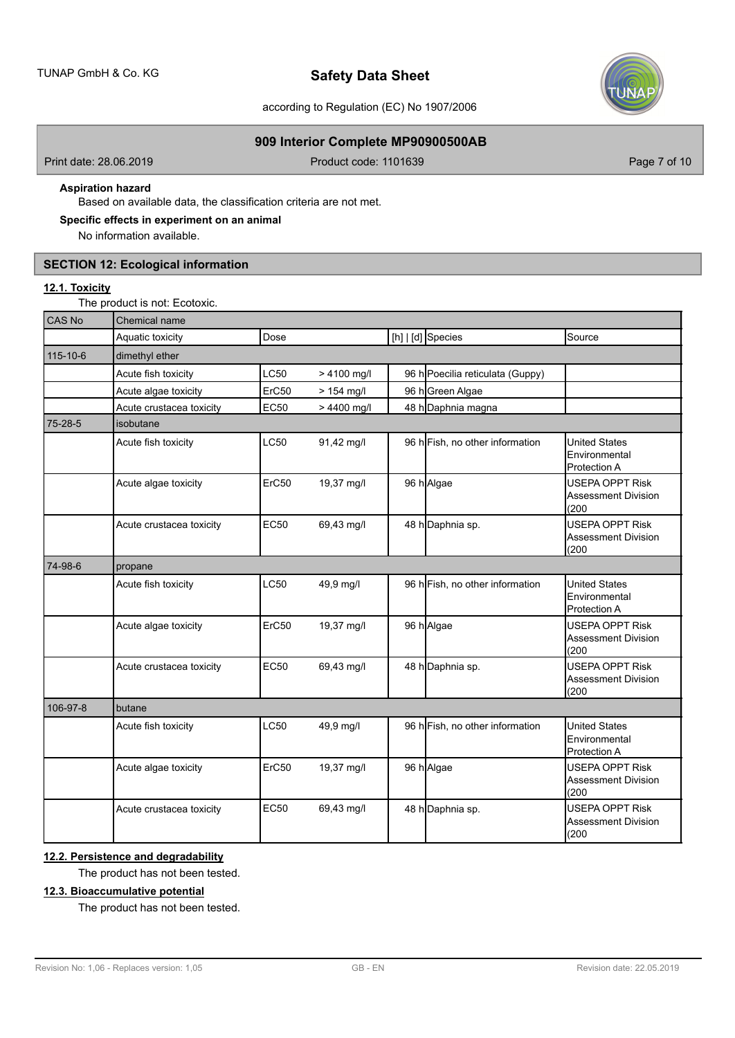

according to Regulation (EC) No 1907/2006

# **909 Interior Complete MP90900500AB**

Print date: 28.06.2019 **Product code: 1101639** Product code: 1101639 Page 7 of 10

# **Aspiration hazard**

Based on available data, the classification criteria are not met.

# **Specific effects in experiment on an animal**

No information available.

# **SECTION 12: Ecological information**

# **12.1. Toxicity**

The product is not: Ecotoxic.

| CAS No   | Chemical name            |             |              |  |                                  |                                                               |
|----------|--------------------------|-------------|--------------|--|----------------------------------|---------------------------------------------------------------|
|          | Aquatic toxicity         | Dose        |              |  | [h]   [d] Species                | Source                                                        |
| 115-10-6 | dimethyl ether           |             |              |  |                                  |                                                               |
|          | Acute fish toxicity      | <b>LC50</b> | > 4100 mg/l  |  | 96 h Poecilia reticulata (Guppy) |                                                               |
|          | Acute algae toxicity     | ErC50       | $> 154$ mg/l |  | 96 h Green Algae                 |                                                               |
|          | Acute crustacea toxicity | <b>EC50</b> | > 4400 mg/l  |  | 48 h Daphnia magna               |                                                               |
| 75-28-5  | isobutane                |             |              |  |                                  |                                                               |
|          | Acute fish toxicity      | <b>LC50</b> | 91,42 mg/l   |  | 96 h Fish, no other information  | <b>United States</b><br>Environmental<br>Protection A         |
|          | Acute algae toxicity     | ErC50       | 19,37 mg/l   |  | 96 h Algae                       | <b>USEPA OPPT Risk</b><br><b>Assessment Division</b><br>(200) |
|          | Acute crustacea toxicity | <b>EC50</b> | 69,43 mg/l   |  | 48 h Daphnia sp.                 | <b>USEPA OPPT Risk</b><br><b>Assessment Division</b><br>(200) |
| 74-98-6  | propane                  |             |              |  |                                  |                                                               |
|          | Acute fish toxicity      | <b>LC50</b> | 49,9 mg/l    |  | 96 h Fish, no other information  | <b>United States</b><br>Environmental<br>Protection A         |
|          | Acute algae toxicity     | ErC50       | 19,37 mg/l   |  | 96 h Algae                       | <b>USEPA OPPT Risk</b><br>Assessment Division<br>(200)        |
|          | Acute crustacea toxicity | <b>EC50</b> | 69,43 mg/l   |  | 48 h Daphnia sp.                 | <b>USEPA OPPT Risk</b><br>Assessment Division<br>(200)        |
| 106-97-8 | butane                   |             |              |  |                                  |                                                               |
|          | Acute fish toxicity      | <b>LC50</b> | 49,9 mg/l    |  | 96 h Fish, no other information  | <b>United States</b><br>Environmental<br><b>Protection A</b>  |
|          | Acute algae toxicity     | ErC50       | 19,37 mg/l   |  | 96 h Algae                       | <b>USEPA OPPT Risk</b><br><b>Assessment Division</b><br>(200) |
|          | Acute crustacea toxicity | <b>EC50</b> | 69,43 mg/l   |  | 48 h Daphnia sp.                 | <b>USEPA OPPT Risk</b><br>Assessment Division<br>(200)        |

# **12.2. Persistence and degradability**

The product has not been tested.

# **12.3. Bioaccumulative potential**

The product has not been tested.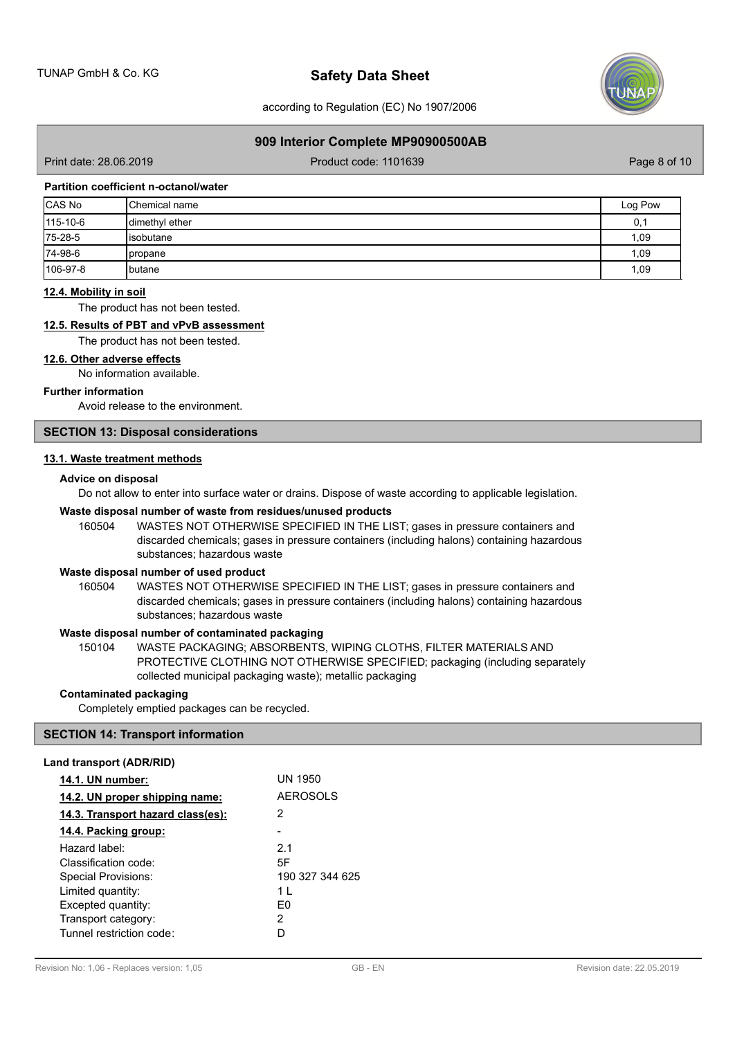

according to Regulation (EC) No 1907/2006

### **909 Interior Complete MP90900500AB**

Print date: 28.06.2019 **Product code: 1101639** Product code: 1101639 Page 8 of 10

### **Partition coefficient n-octanol/water**

| CAS No   | <b>I</b> Chemical name | Log Pow |
|----------|------------------------|---------|
| 115-10-6 | dimethyl ether         | 0,1     |
| 75-28-5  | lisobutane             | 1,09    |
| 74-98-6  | <b>I</b> propane       | 1,09    |
| 106-97-8 | <b>I</b> butane        | 1,09    |

### **12.4. Mobility in soil**

The product has not been tested.

### **12.5. Results of PBT and vPvB assessment**

The product has not been tested.

### **12.6. Other adverse effects**

No information available.

### **Further information**

Avoid release to the environment.

# **SECTION 13: Disposal considerations**

### **13.1. Waste treatment methods**

### **Advice on disposal**

Do not allow to enter into surface water or drains. Dispose of waste according to applicable legislation.

# **Waste disposal number of waste from residues/unused products**

160504 WASTES NOT OTHERWISE SPECIFIED IN THE LIST; gases in pressure containers and discarded chemicals; gases in pressure containers (including halons) containing hazardous substances; hazardous waste

# **Waste disposal number of used product**

WASTES NOT OTHERWISE SPECIFIED IN THE LIST; gases in pressure containers and discarded chemicals; gases in pressure containers (including halons) containing hazardous substances; hazardous waste 160504

# **Waste disposal number of contaminated packaging**

WASTE PACKAGING; ABSORBENTS, WIPING CLOTHS, FILTER MATERIALS AND PROTECTIVE CLOTHING NOT OTHERWISE SPECIFIED; packaging (including separately collected municipal packaging waste); metallic packaging 150104

### **Contaminated packaging**

Completely emptied packages can be recycled.

# **SECTION 14: Transport information**

# **Land transport (ADR/RID)**

| UN 1950         |
|-----------------|
| <b>AEROSOLS</b> |
| 2               |
|                 |
| 21              |
| 5F              |
| 190 327 344 625 |
| $1 \mid$        |
| F٥              |
| 2               |
|                 |
|                 |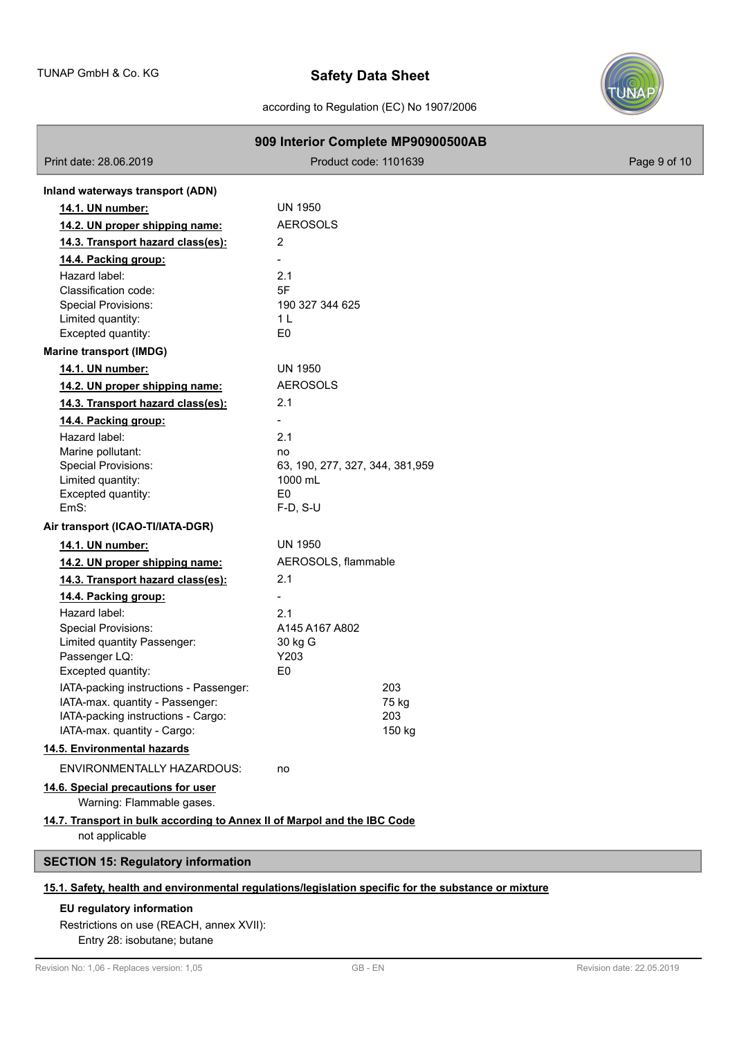

# according to Regulation (EC) No 1907/2006

|                                                                                            | 909 Interior Complete MP90900500AB                                                                   |              |
|--------------------------------------------------------------------------------------------|------------------------------------------------------------------------------------------------------|--------------|
| Print date: 28.06.2019                                                                     | Product code: 1101639                                                                                | Page 9 of 10 |
| Inland waterways transport (ADN)                                                           |                                                                                                      |              |
| 14.1. UN number:                                                                           | <b>UN 1950</b>                                                                                       |              |
| 14.2. UN proper shipping name:                                                             | <b>AEROSOLS</b>                                                                                      |              |
| 14.3. Transport hazard class(es):                                                          | 2                                                                                                    |              |
| 14.4. Packing group:                                                                       | -                                                                                                    |              |
| Hazard label:                                                                              | 2.1                                                                                                  |              |
| Classification code:                                                                       | 5F                                                                                                   |              |
| Special Provisions:<br>Limited quantity:                                                   | 190 327 344 625<br>1 <sub>L</sub>                                                                    |              |
| Excepted quantity:                                                                         | E <sub>0</sub>                                                                                       |              |
| <b>Marine transport (IMDG)</b>                                                             |                                                                                                      |              |
| 14.1. UN number:                                                                           | <b>UN 1950</b>                                                                                       |              |
| 14.2. UN proper shipping name:                                                             | <b>AEROSOLS</b>                                                                                      |              |
| 14.3. Transport hazard class(es):                                                          | 2.1                                                                                                  |              |
| 14.4. Packing group:                                                                       |                                                                                                      |              |
| Hazard label:                                                                              | 2.1                                                                                                  |              |
| Marine pollutant:                                                                          | no                                                                                                   |              |
| <b>Special Provisions:</b>                                                                 | 63, 190, 277, 327, 344, 381, 959                                                                     |              |
| Limited quantity:                                                                          | 1000 mL                                                                                              |              |
| Excepted quantity:<br>EmS:                                                                 | E <sub>0</sub><br>$F-D$ , S-U                                                                        |              |
| Air transport (ICAO-TI/IATA-DGR)                                                           |                                                                                                      |              |
| 14.1. UN number:                                                                           | UN 1950                                                                                              |              |
| 14.2. UN proper shipping name:                                                             | AEROSOLS, flammable                                                                                  |              |
| 14.3. Transport hazard class(es):                                                          | 2.1                                                                                                  |              |
| 14.4. Packing group:                                                                       |                                                                                                      |              |
| Hazard label:                                                                              | 2.1                                                                                                  |              |
| <b>Special Provisions:</b>                                                                 | A145 A167 A802                                                                                       |              |
| Limited quantity Passenger:                                                                | 30 kg G                                                                                              |              |
| Passenger LQ:<br>Excepted quantity:                                                        | Y203<br>E <sub>0</sub>                                                                               |              |
| IATA-packing instructions - Passenger:                                                     | 203                                                                                                  |              |
| IATA-max. quantity - Passenger:                                                            | 75 kg                                                                                                |              |
| IATA-packing instructions - Cargo:                                                         | 203                                                                                                  |              |
| IATA-max. quantity - Cargo:                                                                | 150 kg                                                                                               |              |
| 14.5. Environmental hazards                                                                |                                                                                                      |              |
| ENVIRONMENTALLY HAZARDOUS:                                                                 | no                                                                                                   |              |
| 14.6. Special precautions for user<br>Warning: Flammable gases.                            |                                                                                                      |              |
| 14.7. Transport in bulk according to Annex II of Marpol and the IBC Code<br>not applicable |                                                                                                      |              |
| <b>SECTION 15: Regulatory information</b>                                                  |                                                                                                      |              |
|                                                                                            | 15.1. Safety, health and environmental regulations/legislation specific for the substance or mixture |              |

# **EU regulatory information**

ľ

# Restrictions on use (REACH, annex XVII):

Entry 28: isobutane; butane